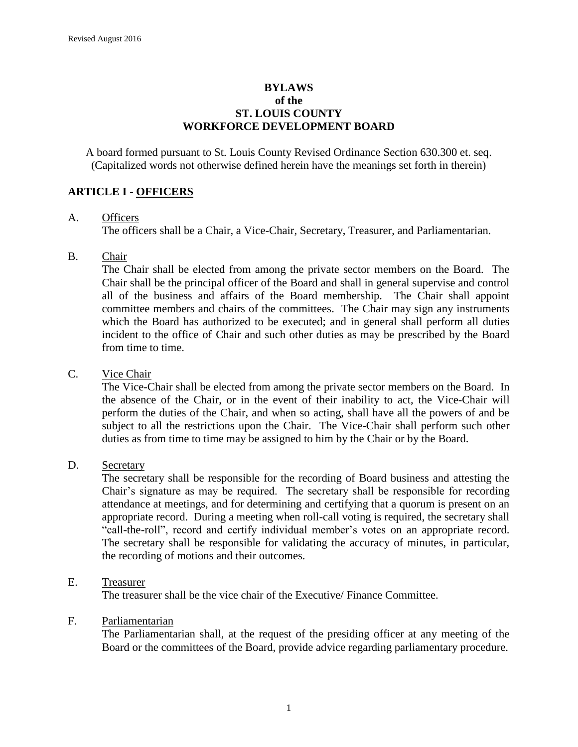#### **BYLAWS of the ST. LOUIS COUNTY WORKFORCE DEVELOPMENT BOARD**

A board formed pursuant to St. Louis County Revised Ordinance Section 630.300 et. seq. (Capitalized words not otherwise defined herein have the meanings set forth in therein)

### **ARTICLE I - OFFICERS**

#### A. Officers

The officers shall be a Chair, a Vice-Chair, Secretary, Treasurer, and Parliamentarian.

#### B. Chair

The Chair shall be elected from among the private sector members on the Board. The Chair shall be the principal officer of the Board and shall in general supervise and control all of the business and affairs of the Board membership. The Chair shall appoint committee members and chairs of the committees. The Chair may sign any instruments which the Board has authorized to be executed; and in general shall perform all duties incident to the office of Chair and such other duties as may be prescribed by the Board from time to time.

#### C. Vice Chair

The Vice-Chair shall be elected from among the private sector members on the Board. In the absence of the Chair, or in the event of their inability to act, the Vice-Chair will perform the duties of the Chair, and when so acting, shall have all the powers of and be subject to all the restrictions upon the Chair. The Vice-Chair shall perform such other duties as from time to time may be assigned to him by the Chair or by the Board.

#### D. Secretary

The secretary shall be responsible for the recording of Board business and attesting the Chair's signature as may be required. The secretary shall be responsible for recording attendance at meetings, and for determining and certifying that a quorum is present on an appropriate record. During a meeting when roll-call voting is required, the secretary shall "call-the-roll", record and certify individual member's votes on an appropriate record. The secretary shall be responsible for validating the accuracy of minutes, in particular, the recording of motions and their outcomes.

#### E. Treasurer

The treasurer shall be the vice chair of the Executive/ Finance Committee.

#### F. Parliamentarian

The Parliamentarian shall, at the request of the presiding officer at any meeting of the Board or the committees of the Board, provide advice regarding parliamentary procedure.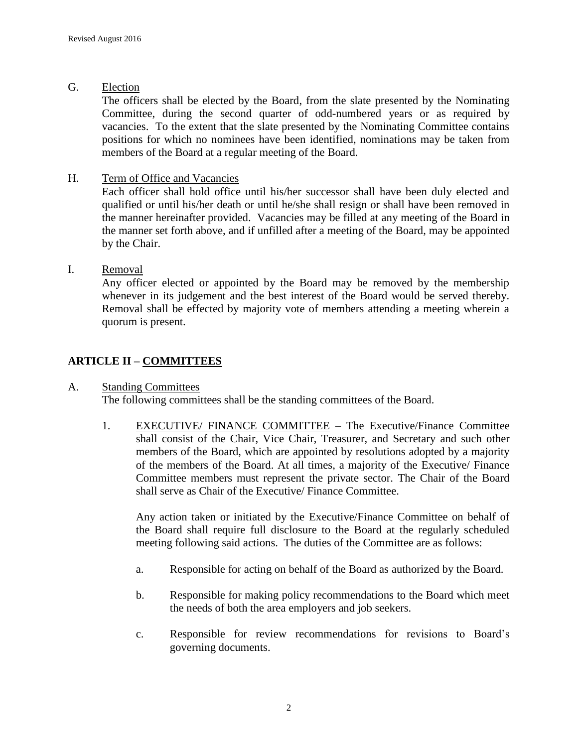G. Election

The officers shall be elected by the Board, from the slate presented by the Nominating Committee, during the second quarter of odd-numbered years or as required by vacancies. To the extent that the slate presented by the Nominating Committee contains positions for which no nominees have been identified, nominations may be taken from members of the Board at a regular meeting of the Board.

H. Term of Office and Vacancies

Each officer shall hold office until his/her successor shall have been duly elected and qualified or until his/her death or until he/she shall resign or shall have been removed in the manner hereinafter provided. Vacancies may be filled at any meeting of the Board in the manner set forth above, and if unfilled after a meeting of the Board, may be appointed by the Chair.

### I. Removal

Any officer elected or appointed by the Board may be removed by the membership whenever in its judgement and the best interest of the Board would be served thereby. Removal shall be effected by majority vote of members attending a meeting wherein a quorum is present.

## **ARTICLE II – COMMITTEES**

### A. Standing Committees

The following committees shall be the standing committees of the Board.

1. EXECUTIVE/ FINANCE COMMITTEE – The Executive/Finance Committee shall consist of the Chair, Vice Chair, Treasurer, and Secretary and such other members of the Board, which are appointed by resolutions adopted by a majority of the members of the Board. At all times, a majority of the Executive/ Finance Committee members must represent the private sector. The Chair of the Board shall serve as Chair of the Executive/ Finance Committee.

Any action taken or initiated by the Executive/Finance Committee on behalf of the Board shall require full disclosure to the Board at the regularly scheduled meeting following said actions. The duties of the Committee are as follows:

- a. Responsible for acting on behalf of the Board as authorized by the Board.
- b. Responsible for making policy recommendations to the Board which meet the needs of both the area employers and job seekers.
- c. Responsible for review recommendations for revisions to Board's governing documents.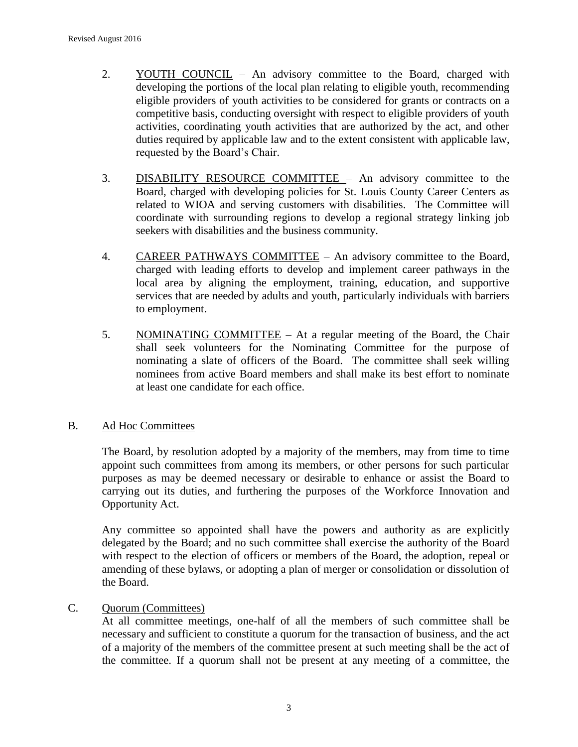- 2. YOUTH COUNCIL An advisory committee to the Board, charged with developing the portions of the local plan relating to eligible youth, recommending eligible providers of youth activities to be considered for grants or contracts on a competitive basis, conducting oversight with respect to eligible providers of youth activities, coordinating youth activities that are authorized by the act, and other duties required by applicable law and to the extent consistent with applicable law, requested by the Board's Chair.
- 3. DISABILITY RESOURCE COMMITTEE An advisory committee to the Board, charged with developing policies for St. Louis County Career Centers as related to WIOA and serving customers with disabilities. The Committee will coordinate with surrounding regions to develop a regional strategy linking job seekers with disabilities and the business community.
- 4. CAREER PATHWAYS COMMITTEE An advisory committee to the Board, charged with leading efforts to develop and implement career pathways in the local area by aligning the employment, training, education, and supportive services that are needed by adults and youth, particularly individuals with barriers to employment.
- 5. NOMINATING COMMITTEE At a regular meeting of the Board, the Chair shall seek volunteers for the Nominating Committee for the purpose of nominating a slate of officers of the Board. The committee shall seek willing nominees from active Board members and shall make its best effort to nominate at least one candidate for each office.

#### B. Ad Hoc Committees

The Board, by resolution adopted by a majority of the members, may from time to time appoint such committees from among its members, or other persons for such particular purposes as may be deemed necessary or desirable to enhance or assist the Board to carrying out its duties, and furthering the purposes of the Workforce Innovation and Opportunity Act.

Any committee so appointed shall have the powers and authority as are explicitly delegated by the Board; and no such committee shall exercise the authority of the Board with respect to the election of officers or members of the Board, the adoption, repeal or amending of these bylaws, or adopting a plan of merger or consolidation or dissolution of the Board.

### C. Quorum (Committees)

At all committee meetings, one-half of all the members of such committee shall be necessary and sufficient to constitute a quorum for the transaction of business, and the act of a majority of the members of the committee present at such meeting shall be the act of the committee. If a quorum shall not be present at any meeting of a committee, the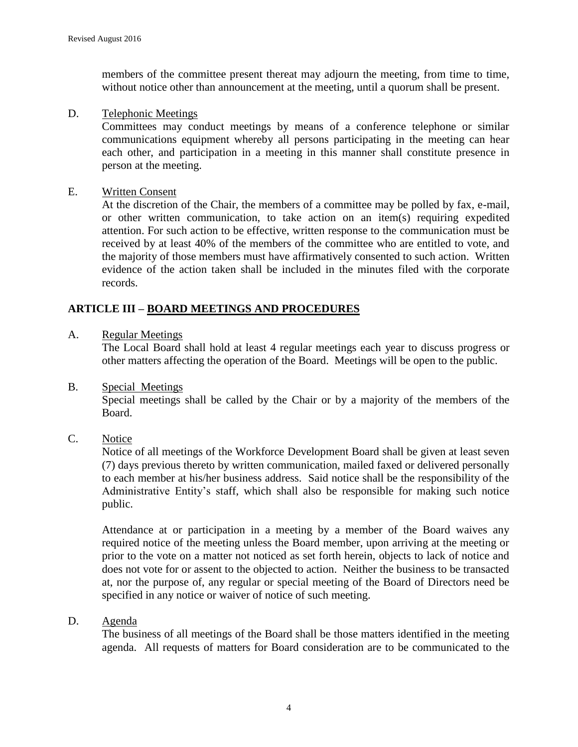members of the committee present thereat may adjourn the meeting, from time to time, without notice other than announcement at the meeting, until a quorum shall be present.

#### D. Telephonic Meetings

Committees may conduct meetings by means of a conference telephone or similar communications equipment whereby all persons participating in the meeting can hear each other, and participation in a meeting in this manner shall constitute presence in person at the meeting.

#### E. Written Consent

At the discretion of the Chair, the members of a committee may be polled by fax, e-mail, or other written communication, to take action on an item(s) requiring expedited attention. For such action to be effective, written response to the communication must be received by at least 40% of the members of the committee who are entitled to vote, and the majority of those members must have affirmatively consented to such action. Written evidence of the action taken shall be included in the minutes filed with the corporate records.

### **ARTICLE III – BOARD MEETINGS AND PROCEDURES**

#### A. Regular Meetings

The Local Board shall hold at least 4 regular meetings each year to discuss progress or other matters affecting the operation of the Board. Meetings will be open to the public.

B. Special Meetings

Special meetings shall be called by the Chair or by a majority of the members of the Board.

#### C. Notice

Notice of all meetings of the Workforce Development Board shall be given at least seven (7) days previous thereto by written communication, mailed faxed or delivered personally to each member at his/her business address. Said notice shall be the responsibility of the Administrative Entity's staff, which shall also be responsible for making such notice public.

Attendance at or participation in a meeting by a member of the Board waives any required notice of the meeting unless the Board member, upon arriving at the meeting or prior to the vote on a matter not noticed as set forth herein, objects to lack of notice and does not vote for or assent to the objected to action. Neither the business to be transacted at, nor the purpose of, any regular or special meeting of the Board of Directors need be specified in any notice or waiver of notice of such meeting.

#### D. Agenda

The business of all meetings of the Board shall be those matters identified in the meeting agenda. All requests of matters for Board consideration are to be communicated to the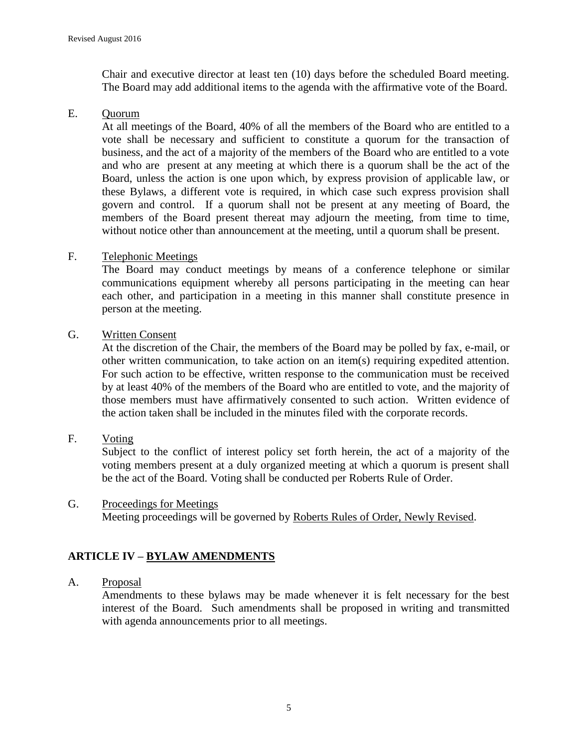Chair and executive director at least ten (10) days before the scheduled Board meeting. The Board may add additional items to the agenda with the affirmative vote of the Board.

### E. Quorum

At all meetings of the Board, 40% of all the members of the Board who are entitled to a vote shall be necessary and sufficient to constitute a quorum for the transaction of business, and the act of a majority of the members of the Board who are entitled to a vote and who are present at any meeting at which there is a quorum shall be the act of the Board, unless the action is one upon which, by express provision of applicable law, or these Bylaws, a different vote is required, in which case such express provision shall govern and control. If a quorum shall not be present at any meeting of Board, the members of the Board present thereat may adjourn the meeting, from time to time, without notice other than announcement at the meeting, until a quorum shall be present.

### F. Telephonic Meetings

The Board may conduct meetings by means of a conference telephone or similar communications equipment whereby all persons participating in the meeting can hear each other, and participation in a meeting in this manner shall constitute presence in person at the meeting.

### G. Written Consent

At the discretion of the Chair, the members of the Board may be polled by fax, e-mail, or other written communication, to take action on an item(s) requiring expedited attention. For such action to be effective, written response to the communication must be received by at least 40% of the members of the Board who are entitled to vote, and the majority of those members must have affirmatively consented to such action. Written evidence of the action taken shall be included in the minutes filed with the corporate records.

F. Voting

Subject to the conflict of interest policy set forth herein, the act of a majority of the voting members present at a duly organized meeting at which a quorum is present shall be the act of the Board. Voting shall be conducted per Roberts Rule of Order.

G. Proceedings for Meetings Meeting proceedings will be governed by Roberts Rules of Order, Newly Revised.

# **ARTICLE IV – BYLAW AMENDMENTS**

#### A. Proposal

Amendments to these bylaws may be made whenever it is felt necessary for the best interest of the Board. Such amendments shall be proposed in writing and transmitted with agenda announcements prior to all meetings.